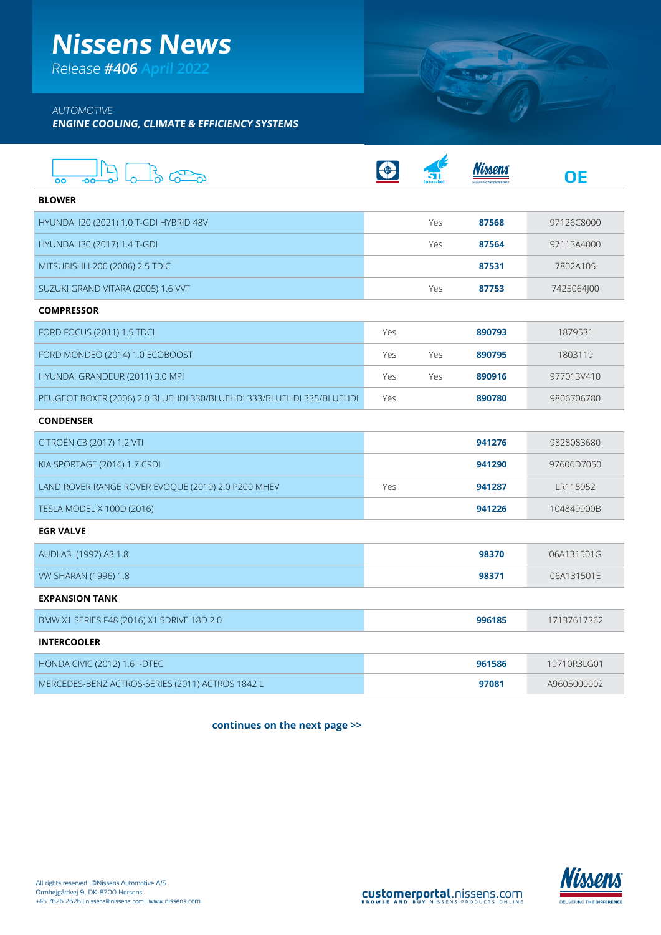# **Nissens News**

Release **#406 April 2022**

## AUTOMOTIVE

**ENGINE COOLING, CLIMATE & EFFICIENCY SYSTEMS**

| о٥                                                                   |     |     |        | <b>OE</b>   |
|----------------------------------------------------------------------|-----|-----|--------|-------------|
| <b>BLOWER</b>                                                        |     |     |        |             |
| HYUNDAI 120 (2021) 1.0 T-GDI HYBRID 48V                              |     | Yes | 87568  | 97126C8000  |
| HYUNDAI 130 (2017) 1.4 T-GDI                                         |     | Yes | 87564  | 97113A4000  |
| MITSUBISHI L200 (2006) 2.5 TDIC                                      |     |     | 87531  | 7802A105    |
| SUZUKI GRAND VITARA (2005) 1.6 VVT                                   |     | Yes | 87753  | 7425064J00  |
| <b>COMPRESSOR</b>                                                    |     |     |        |             |
| <b>FORD FOCUS (2011) 1.5 TDCI</b>                                    | Yes |     | 890793 | 1879531     |
| FORD MONDEO (2014) 1.0 ECOBOOST                                      | Yes | Yes | 890795 | 1803119     |
| HYUNDAI GRANDEUR (2011) 3.0 MPI                                      | Yes | Yes | 890916 | 977013V410  |
| PEUGEOT BOXER (2006) 2.0 BLUEHDI 330/BLUEHDI 333/BLUEHDI 335/BLUEHDI | Yes |     | 890780 | 9806706780  |
| <b>CONDENSER</b>                                                     |     |     |        |             |
| CITROËN C3 (2017) 1.2 VTI                                            |     |     | 941276 | 9828083680  |
| KIA SPORTAGE (2016) 1.7 CRDI                                         |     |     | 941290 | 97606D7050  |
| LAND ROVER RANGE ROVER EVOQUE (2019) 2.0 P200 MHEV                   | Yes |     | 941287 | LR115952    |
| <b>TESLA MODEL X 100D (2016)</b>                                     |     |     | 941226 | 104849900B  |
| <b>EGR VALVE</b>                                                     |     |     |        |             |
| AUDI A3 (1997) A3 1.8                                                |     |     | 98370  | 06A131501G  |
| VW SHARAN (1996) 1.8                                                 |     |     | 98371  | 06A131501E  |
| <b>EXPANSION TANK</b>                                                |     |     |        |             |
| BMW X1 SERIES F48 (2016) X1 SDRIVE 18D 2.0                           |     |     | 996185 | 17137617362 |
| <b>INTERCOOLER</b>                                                   |     |     |        |             |
| <b>HONDA CIVIC (2012) 1.6 I-DTEC</b>                                 |     |     | 961586 | 19710R3LG01 |
| MERCEDES-BENZ ACTROS-SERIES (2011) ACTROS 1842 L                     |     |     | 97081  | A9605000002 |

**continues on the next page >>**





**SERVITO**